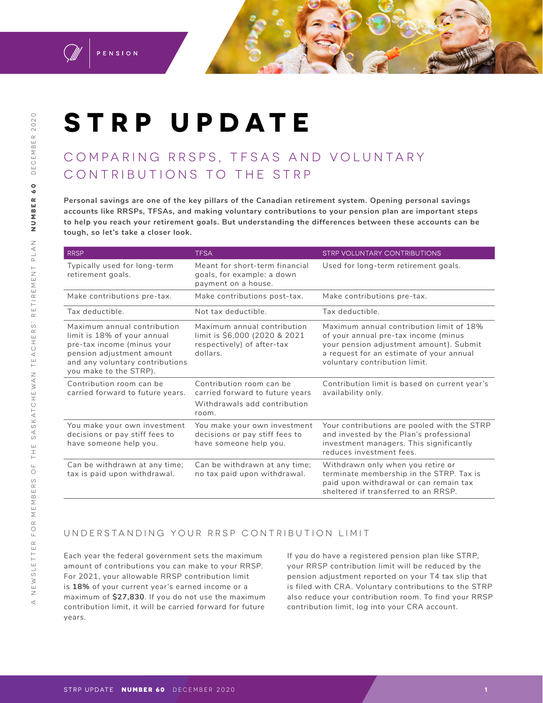

PENSION

# **STRP UPDATE**

## COMPARING RRSPS, TFSAS AND VOLUNTARY CONTRIBUTIONS TO THE STRP

**Personal savings are one of the key pillars of the Canadian retirement system. Opening personal savings accounts like RRSPs, TFSAs, and making voluntary contributions to your pension plan are important steps to help you reach your retirement goals. But understanding the differences between these accounts can be tough, so let's take a closer look.** 

| <b>RRSP</b>                                                                                                                                                                        | <b>TFSA</b>                                                                                            | <b>STRP VOLUNTARY CONTRIBUTIONS</b>                                                                                                                                                                      |
|------------------------------------------------------------------------------------------------------------------------------------------------------------------------------------|--------------------------------------------------------------------------------------------------------|----------------------------------------------------------------------------------------------------------------------------------------------------------------------------------------------------------|
| Typically used for long-term<br>retirement goals.                                                                                                                                  | Meant for short-term financial<br>goals, for example: a down<br>payment on a house.                    | Used for long-term retirement goals.                                                                                                                                                                     |
| Make contributions pre-tax.                                                                                                                                                        | Make contributions post-tax.                                                                           | Make contributions pre-tax.                                                                                                                                                                              |
| Tax deductible.                                                                                                                                                                    | Not tax deductible.                                                                                    | Tax deductible.                                                                                                                                                                                          |
| Maximum annual contribution<br>limit is 18% of your annual<br>pre-tax income (minus your<br>pension adjustment amount<br>and any voluntary contributions<br>you make to the STRP). | Maximum annual contribution<br>limit is \$6,000 (2020 & 2021<br>respectively) of after-tax<br>dollars. | Maximum annual contribution limit of 18%<br>of your annual pre-tax income (minus<br>your pension adjustment amount). Submit<br>a request for an estimate of your annual<br>voluntary contribution limit. |
| Contribution room can be<br>carried forward to future years.                                                                                                                       | Contribution room can be<br>carried forward to future years<br>Withdrawals add contribution<br>room.   | Contribution limit is based on current year's<br>availability only.                                                                                                                                      |
| You make your own investment<br>decisions or pay stiff fees to<br>have someone help you.                                                                                           | You make your own investment<br>decisions or pay stiff fees to<br>have someone help you.               | Your contributions are pooled with the STRP<br>and invested by the Plan's professional<br>investment managers. This significantly<br>reduces investment fees.                                            |
| Can be withdrawn at any time;<br>tax is paid upon withdrawal.                                                                                                                      | Can be withdrawn at any time;<br>no tax paid upon withdrawal.                                          | Withdrawn only when you retire or<br>terminate membership in the STRP. Tax is<br>paid upon withdrawal or can remain tax<br>sheltered if transferred to an RRSP.                                          |

#### UNDERSTANDING YOUR RRSP CONTRIBUTION LIMIT

Each year the federal government sets the maximum amount of contributions you can make to your RRSP. For 2021, your allowable RRSP contribution limit is **18%** of your current year's earned income or a maximum of **\$27,830**. If you do not use the maximum contribution limit, it will be carried forward for future years.

If you do have a registered pension plan like STRP, your RRSP contribution limit will be reduced by the pension adjustment reported on your T4 tax slip that is filed with CRA. Voluntary contributions to the STRP also reduce your contribution room. To find your RRSP contribution limit, log into your CRA account.